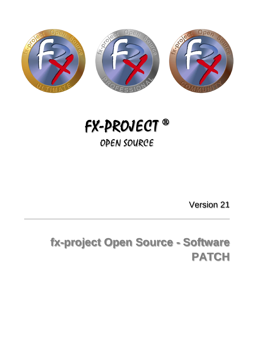

# *FX-PROJECT ® OPEN SOURCE*

Version 21

## **fx-project Open Source - Software PATCH**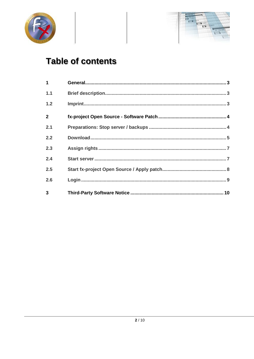



## **Table of contents**

| $\mathbf{1}$   |  |  |  |
|----------------|--|--|--|
| 1.1            |  |  |  |
| 1.2            |  |  |  |
| $\overline{2}$ |  |  |  |
| 2.1            |  |  |  |
| 2.2            |  |  |  |
| 2.3            |  |  |  |
| 2.4            |  |  |  |
| 2.5            |  |  |  |
| 2.6            |  |  |  |
| $\overline{3}$ |  |  |  |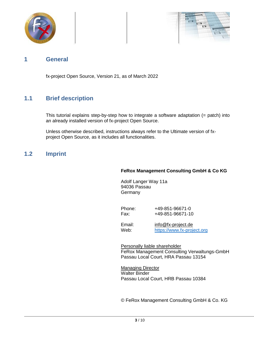



### **1 General**

fx-project Open Source, Version 21, as of March 2022

## **1.1 Brief description**

This tutorial explains step-by-step how to integrate a software adaptation (= patch) into an already installed version of fx-project Open Source.

Unless otherwise described, instructions always refer to the Ultimate version of fxproject Open Source, as it includes all functionalities.

### **1.2 Imprint**

#### **FeRox Management Consulting GmbH & Co KG**

Adolf Langer Way 11a 94036 Passau Germany

Phone: +49-851-96671-0<br>Fax: +49-851-96671-1 Fax: +49-851-96671-10

Email: [info@fx-project.de](mailto:info@fx-project.de) Web: [https://www.fx-project.org](mhtml:file://I:/WEB/_FXP_OS_DEV/INT/DOC/ENGLISH/fx-project%2000.1%20Kurzuebersicht%20en.mht!https://www.fx-project.org)

Personally liable shareholder FeRox Management Consulting Verwaltungs-GmbH Passau Local Court, HRA Passau 13154

Managing Director Walter Binder Passau Local Court, HRB Passau 10384

© FeRox Management Consulting GmbH & Co. KG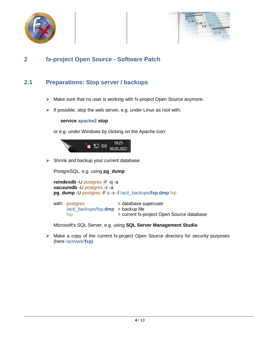



## **2 fx-project Open Source - Software Patch**

## **2.1 Preparations: Stop server / backups**

- $\triangleright$  Make sure that no user is working with fx-project Open Source anymore.
- $\triangleright$  If possible, stop the web server, e.g. under Linux as root with:

**service apache2 stop**

or e.g. under Windows by clicking on the Apache icon:



 $\triangleright$  Shrink and backup your current database.

PostgreSQL, e.g. using **pg\_dump**

**reindexdb** -U postgres -F -q -a **vacuumdb** -U postgres -z -a **pg\_dump** -U postgres -F c -x -f /act/\_backups/fxp.dmp fxp

| with: postgres                                | = database superuser                      |
|-----------------------------------------------|-------------------------------------------|
| $\lambda$ /act/ backups/fxp.dmp = backup file |                                           |
| <b>TXD</b>                                    | = current fx-project Open Source database |

Microsoft's SQL Server, e.g. using **SQL Server Management Studio**

 $\triangleright$  Make a copy of the current fx-project Open Source directory for security purposes (here /act/web/**fxp**)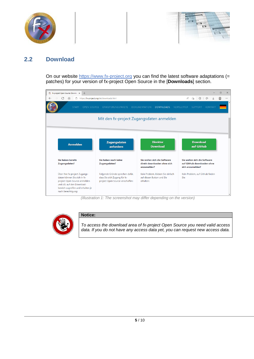



## **2.2 Download**

On our website [https://www.fx-project.org](https://www.fx-project.org/) you can find the latest software adaptations (= patches) for your version of fx-project Open Source in the [**Downloads**] section.



*(Illustration 1: The screenshot may differ depending on the version)*



#### **Notice:**

*To access the download area of fx-project Open Source you need valid access data. If you do not have any access data yet, you can request new access data.*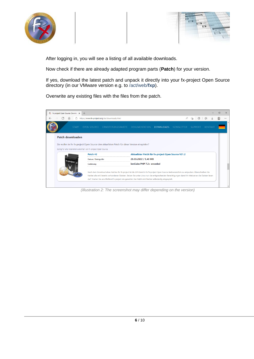



After logging in, you will see a listing of all available downloads.

Now check if there are already adapted program parts (**Patch**) for your version.

If yes, download the latest patch and unpack it directly into your fx-project Open Source directory (in our VMware version e.g. to /act/web/**fxp**).

Overwrite any existing files with the files from the patch.



*(Illustration 2: The screenshot may differ depending on the version)*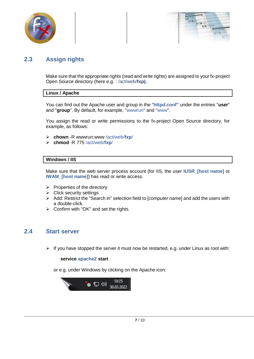



## **2.3 Assign rights**

Make sure that the appropriate rights (read and write rights) are assigned to your fx-project Open Source directory (here e.g. : /act/web/**fxp).**

#### **Linux / Apache**

You can find out the Apache user and group in the "**httpd.conf"** under the entries "**user**" and "**group**". By default, for example, "wwwrun" and "www".

You assign the read or write permissions to the fx-project Open Source directory, for example, as follows:

- **chown** -R wwwrun:www /act/web/**fxp**/
- **chmod** -R 775 /act/web/**fxp**/

#### **Windows / IIS**

Make sure that the web server process account (for IIS, the user **IUSR\_[host name]** or **IWAM\_[host name]**) has read or write access.

- $\triangleright$  Properties of the directory
- $\triangleright$  Click security settings
- Add: Restrict the "Search in" selection field to [*computer name*] and add the users with a double-click.
- $\triangleright$  Confirm with "OK" and set the rights.

## **2.4 Start server**

 $\triangleright$  If you have stopped the server it must now be restarted, e.g. under Linux as root with:

#### **service apache2 start**

or e.g. under Windows by clicking on the Apache icon:

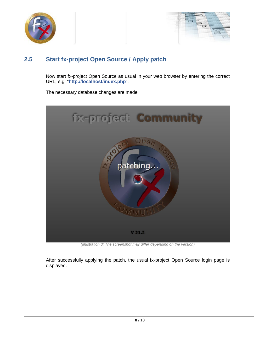



## **2.5 Start fx-project Open Source / Apply patch**

Now start fx-project Open Source as usual in your web browser by entering the correct URL, e.g. "**http://localhost/index.php**".

The necessary database changes are made.



*(Illustration 3: The screenshot may differ depending on the version)*

After successfully applying the patch, the usual fx-project Open Source login page is displayed.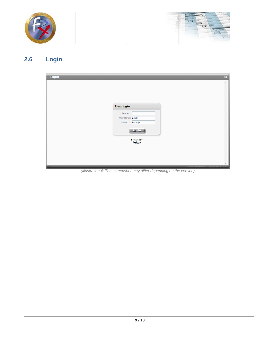



## **2.6 Login**



*(Illustration 4: The screenshot may differ depending on the version)*